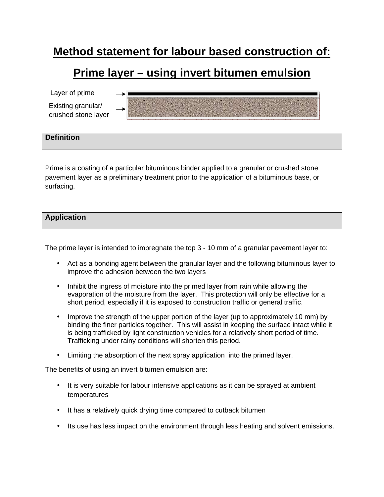# **Method statement for labour based construction of:**

## **Prime layer – using invert bitumen emulsion**

Layer of prime

Existing granular/ crushed stone layer

## **Definition**

Prime is a coating of a particular bituminous binder applied to a granular or crushed stone pavement layer as a preliminary treatment prior to the application of a bituminous base, or surfacing.

## **Application**

The prime layer is intended to impregnate the top 3 - 10 mm of a granular pavement layer to:

- Act as a bonding agent between the granular layer and the following bituminous layer to improve the adhesion between the two layers
- Inhibit the ingress of moisture into the primed layer from rain while allowing the evaporation of the moisture from the layer. This protection will only be effective for a short period, especially if it is exposed to construction traffic or general traffic.
- Improve the strength of the upper portion of the layer (up to approximately 10 mm) by binding the finer particles together. This will assist in keeping the surface intact while it is being trafficked by light construction vehicles for a relatively short period of time. Trafficking under rainy conditions will shorten this period.
- Limiting the absorption of the next spray application into the primed layer.

The benefits of using an invert bitumen emulsion are:

- It is very suitable for labour intensive applications as it can be sprayed at ambient temperatures
- It has a relatively quick drying time compared to cutback bitumen
- Its use has less impact on the environment through less heating and solvent emissions.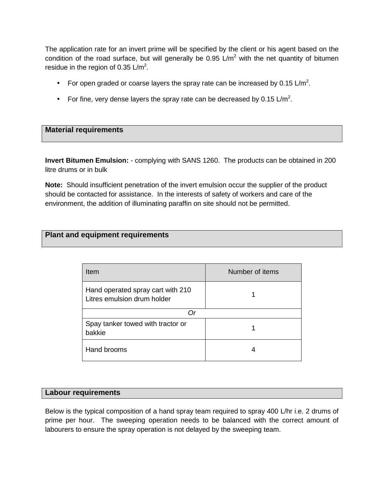The application rate for an invert prime will be specified by the client or his agent based on the condition of the road surface, but will generally be 0.95  $\text{L/m}^2$  with the net quantity of bitumen residue in the region of 0.35  $\text{L/m}^2$ .

- For open graded or coarse layers the spray rate can be increased by 0.15 L/m<sup>2</sup>.
- For fine, very dense layers the spray rate can be decreased by 0.15 L/m<sup>2</sup>.

## **Material requirements**

**Invert Bitumen Emulsion:** - complying with SANS 1260. The products can be obtained in 200 litre drums or in bulk

**Note:** Should insufficient penetration of the invert emulsion occur the supplier of the product should be contacted for assistance. In the interests of safety of workers and care of the environment, the addition of illuminating paraffin on site should not be permitted.

## **Plant and equipment requirements**

| Item                                                             | Number of items |
|------------------------------------------------------------------|-----------------|
| Hand operated spray cart with 210<br>Litres emulsion drum holder |                 |
|                                                                  |                 |
| Spay tanker towed with tractor or<br>bakkie                      |                 |
| Hand brooms                                                      |                 |

#### **Labour requirements**

Below is the typical composition of a hand spray team required to spray 400 L/hr i.e. 2 drums of prime per hour. The sweeping operation needs to be balanced with the correct amount of labourers to ensure the spray operation is not delayed by the sweeping team.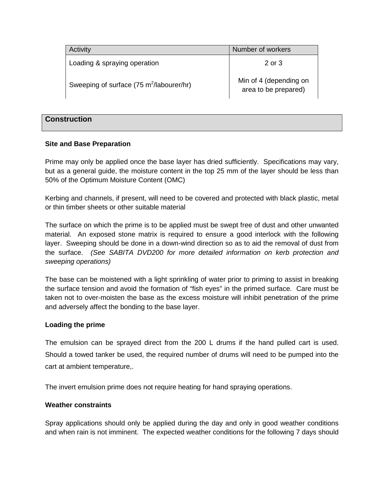| Activity                                    | Number of workers                              |
|---------------------------------------------|------------------------------------------------|
| Loading & spraying operation                | 2 or 3                                         |
| Sweeping of surface (75 $m^2$ /labourer/hr) | Min of 4 (depending on<br>area to be prepared) |

#### **Construction**

#### **Site and Base Preparation**

Prime may only be applied once the base layer has dried sufficiently. Specifications may vary, but as a general guide, the moisture content in the top 25 mm of the layer should be less than 50% of the Optimum Moisture Content (OMC)

Kerbing and channels, if present, will need to be covered and protected with black plastic, metal or thin timber sheets or other suitable material

The surface on which the prime is to be applied must be swept free of dust and other unwanted material. An exposed stone matrix is required to ensure a good interlock with the following layer. Sweeping should be done in a down-wind direction so as to aid the removal of dust from the surface. (See SABITA DVD200 for more detailed information on kerb protection and sweeping operations)

The base can be moistened with a light sprinkling of water prior to priming to assist in breaking the surface tension and avoid the formation of "fish eyes" in the primed surface. Care must be taken not to over-moisten the base as the excess moisture will inhibit penetration of the prime and adversely affect the bonding to the base layer.

#### **Loading the prime**

The emulsion can be sprayed direct from the 200 L drums if the hand pulled cart is used. Should a towed tanker be used, the required number of drums will need to be pumped into the cart at ambient temperature,.

The invert emulsion prime does not require heating for hand spraying operations.

#### **Weather constraints**

Spray applications should only be applied during the day and only in good weather conditions and when rain is not imminent. The expected weather conditions for the following 7 days should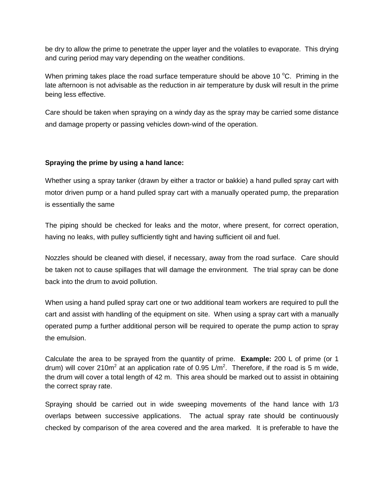be dry to allow the prime to penetrate the upper layer and the volatiles to evaporate. This drying and curing period may vary depending on the weather conditions.

When priming takes place the road surface temperature should be above 10  $^{\circ}$ C. Priming in the late afternoon is not advisable as the reduction in air temperature by dusk will result in the prime being less effective.

Care should be taken when spraying on a windy day as the spray may be carried some distance and damage property or passing vehicles down-wind of the operation.

#### **Spraying the prime by using a hand lance:**

Whether using a spray tanker (drawn by either a tractor or bakkie) a hand pulled spray cart with motor driven pump or a hand pulled spray cart with a manually operated pump, the preparation is essentially the same

The piping should be checked for leaks and the motor, where present, for correct operation, having no leaks, with pulley sufficiently tight and having sufficient oil and fuel.

Nozzles should be cleaned with diesel, if necessary, away from the road surface. Care should be taken not to cause spillages that will damage the environment. The trial spray can be done back into the drum to avoid pollution.

When using a hand pulled spray cart one or two additional team workers are required to pull the cart and assist with handling of the equipment on site. When using a spray cart with a manually operated pump a further additional person will be required to operate the pump action to spray the emulsion.

Calculate the area to be sprayed from the quantity of prime. **Example:** 200 L of prime (or 1 drum) will cover 210m<sup>2</sup> at an application rate of 0.95 L/m<sup>2</sup>. Therefore, if the road is 5 m wide, the drum will cover a total length of 42 m. This area should be marked out to assist in obtaining the correct spray rate.

Spraying should be carried out in wide sweeping movements of the hand lance with 1/3 overlaps between successive applications. The actual spray rate should be continuously checked by comparison of the area covered and the area marked. It is preferable to have the